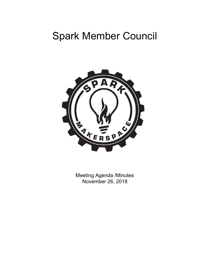# Spark Member Council



Meeting Agenda /Minutes November 26, 2018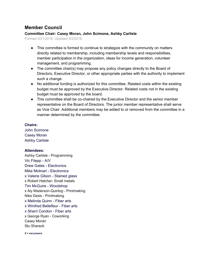## **Member Council**

### **Committee Chair: Casey Moran, John Scimone, Ashby Carlisle**

Formed 3/21/2018, Updated 5/2/2018

- This committee is formed to continue to strategize with the community on matters directly related to membership, including membership levels and responsibilities, member participation in the organization, ideas for income generation, volunteer management, and programming.
- The committee chair(s) may propose any policy changes directly to the Board of Directors, Executive Director, or other appropriate parties with the authority to implement such a change.
- No additional funding is authorized for this committee. Related costs within the existing budget must be approved by the Executive Director. Related costs not in the existing budget must be approved by the board.
- This committee shall be co-chaired by the Executive Director and the senior member representative on the Board of Directors. The junior member representative shall serve as Vice Chair. Additional members may be added to or removed from the committee in a manner determined by the committee.

#### **Chairs:**

John Scimone Casey Moran Ashby Carlisle

#### **Attendees:**

Ashby Carlisle - Programming Vic Filepp - A/V Drew Gates - Electronics Mike Molinari - Electronics x Valerie Gilson - Stained glass x Robert Hatcher- Small metals Tim McGuire - Woodshop x Aly Maderson-Quinlog - Printmaking Nike Desis - Printmaking x Melinda Quinn - Fiber arts x Winifred Bellefleur - Fiber arts x Sherri Condon - Fiber arts x George Ryan - Coworking Casey Moran Stu Sharack

**X = not present**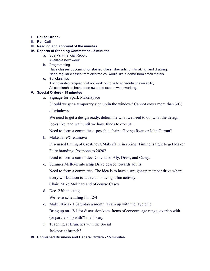- **I. Call to Order -**
- **II. Roll Call**

#### **III. Reading and approval of the minutes**

#### **IV. Reports of Standing Committees - 5 minutes**

- **a.** Spark's Financial Report Available next week
- **b.** Programming

Have classes upcoming for stained glass, fiber arts, printmaking, and drawing. Need regular classes from electronics, would like a demo from small metals.

c. Scholarships 1 scholarship recipient did not work out due to schedule unavailability. All scholarships have been awarded except woodworking.

#### **V. Special Orders - 15 minutes**

a. Signage for Spark Makerspace

Should we get a temporary sign up in the window? Cannot cover more than 30% of windows

We need to get a design ready, determine what we need to do, what the design looks like, and wait until we have funds to execute.

Need to form a committee - possible chairs: George Ryan or John Curran?

b. Makerfaire/Creatinova

Discussed timing of Creatinova/Makerfaire in spring. Timing is tight to get Maker Faire branding. Postpone to 2020?

Need to form a committee. Co-chairs: Aly, Drew, and Casey.

c. Summer Melt/Membership Drive geared towards adults

Need to form a committee. The idea is to have a straight-up member drive where every workstation is active and having a fun activity.

Chair: Mike Molinari and of course Casey

d. Dec. 25th meeting

We're re-scheduling for 12/4

- e. Maker Kids 1 Saturday a month. Team up with the Hygienic Bring up on 12/4 for discussion/vote. Items of concern: age range, overlap with (or partnership with?) the library
- f. Teaching at Brunches with the Social Jackbox at brunch?

#### **VI. Unfinished Business and General Orders - 15 minutes**